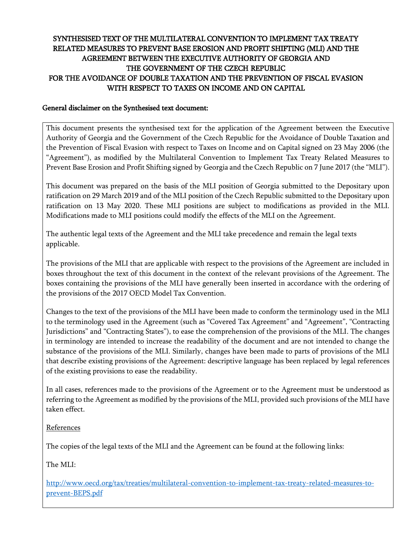# SYNTHESISED TEXT OF THE MULTILATERAL CONVENTION TO IMPLEMENT TAX TREATY RELATED MEASURES TO PREVENT BASE EROSION AND PROFIT SHIFTING (MLI) AND THE AGREEMENT BETWEEN THE EXECUTIVE AUTHORITY OF GEORGIA AND THE GOVERNMENT OF THE CZECH REPUBLIC FOR THE AVOIDANCE OF DOUBLE TAXATION AND THE PREVENTION OF FISCAL EVASION WITH RESPECT TO TAXES ON INCOME AND ON CAPITAL

#### General disclaimer on the Synthesised text document:

This document presents the synthesised text for the application of the Agreement between the Executive Authority of Georgia and the Government of the Czech Republic for the Avoidance of Double Taxation and the Prevention of Fiscal Evasion with respect to Taxes on Income and on Capital signed on 23 May 2006 (the "Agreement"), as modified by the Multilateral Convention to Implement Tax Treaty Related Measures to Prevent Base Erosion and Profit Shifting signed by Georgia and the Czech Republic on 7 June 2017 (the "MLI").

This document was prepared on the basis of the MLI position of Georgia submitted to the Depositary upon ratification on 29 March 2019 and of the MLI position of the Czech Republic submitted to the Depositary upon ratification on 13 May 2020. These MLI positions are subject to modifications as provided in the MLI. Modifications made to MLI positions could modify the effects of the MLI on the Agreement.

The authentic legal texts of the Agreement and the MLI take precedence and remain the legal texts applicable.

The provisions of the MLI that are applicable with respect to the provisions of the Agreement are included in boxes throughout the text of this document in the context of the relevant provisions of the Agreement. The boxes containing the provisions of the MLI have generally been inserted in accordance with the ordering of the provisions of the 2017 OECD Model Tax Convention.

Changes to the text of the provisions of the MLI have been made to conform the terminology used in the MLI to the terminology used in the Agreement (such as "Covered Tax Agreement" and "Agreement", "Contracting Jurisdictions" and "Contracting States"), to ease the comprehension of the provisions of the MLI. The changes in terminology are intended to increase the readability of the document and are not intended to change the substance of the provisions of the MLI. Similarly, changes have been made to parts of provisions of the MLI that describe existing provisions of the Agreement: descriptive language has been replaced by legal references of the existing provisions to ease the readability.

In all cases, references made to the provisions of the Agreement or to the Agreement must be understood as referring to the Agreement as modified by the provisions of the MLI, provided such provisions of the MLI have taken effect.

### References

The copies of the legal texts of the MLI and the Agreement can be found at the following links:

The MLI:

[http://www.oecd.org/tax/treaties/multilateral-convention-to-implement-tax-treaty-related-measures-to](http://www.oecd.org/tax/treaties/multilateral-convention-to-implement-tax-treaty-related-measures-to-prevent-BEPS.pdf)[prevent-BEPS.pdf](http://www.oecd.org/tax/treaties/multilateral-convention-to-implement-tax-treaty-related-measures-to-prevent-BEPS.pdf)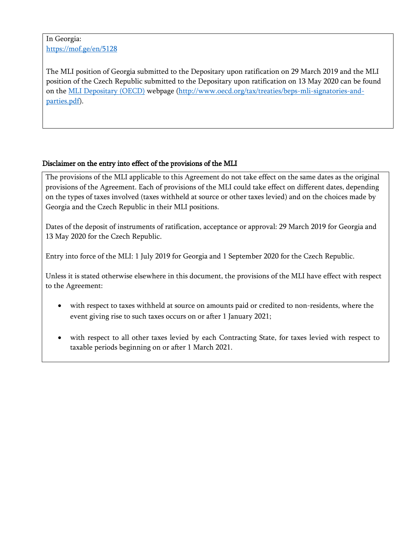In Georgia: <https://mof.ge/en/5128>

The MLI position of Georgia submitted to the Depositary upon ratification on 29 March 2019 and the MLI position of the Czech Republic submitted to the Depositary upon ratification on 13 May 2020 can be found on the [MLI Depositary \(OECD\)](http://www.oecd.org/tax/treaties/multilateral-convention-to-implement-tax-treaty-related-measures-to-prevent-beps.htm) webpage [\(http://www.oecd.org/tax/treaties/beps-mli-signatories-and](http://www.oecd.org/tax/treaties/beps-mli-signatories-and-parties.pdf)[parties.pdf\)](http://www.oecd.org/tax/treaties/beps-mli-signatories-and-parties.pdf).

# Disclaimer on the entry into effect of the provisions of the MLI

The provisions of the MLI applicable to this Agreement do not take effect on the same dates as the original provisions of the Agreement. Each of provisions of the MLI could take effect on different dates, depending on the types of taxes involved (taxes withheld at source or other taxes levied) and on the choices made by Georgia and the Czech Republic in their MLI positions.

Dates of the deposit of instruments of ratification, acceptance or approval: 29 March 2019 for Georgia and 13 May 2020 for the Czech Republic.

Entry into force of the MLI: 1 July 2019 for Georgia and 1 September 2020 for the Czech Republic.

Unless it is stated otherwise elsewhere in this document, the provisions of the MLI have effect with respect to the Agreement:

- with respect to taxes withheld at source on amounts paid or credited to non-residents, where the event giving rise to such taxes occurs on or after 1 January 2021;
- with respect to all other taxes levied by each Contracting State, for taxes levied with respect to taxable periods beginning on or after 1 March 2021.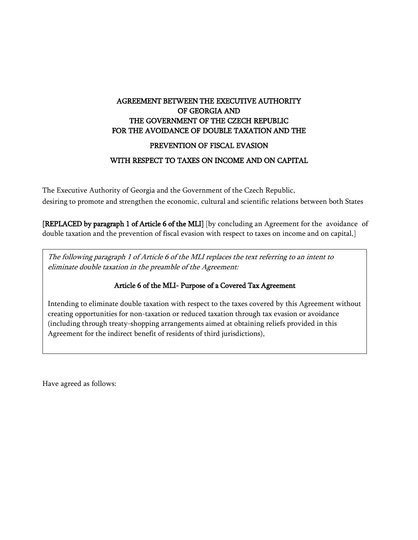# AGREEMENT BETWEEN THE EXECUTIVE AUTHORITY OF GEORGIA AND THE GOVERNMENT OF THE CZECH REPUBLIC FOR THE AVOIDANCE OF DOUBLE TAXATION AND THE

### PREVENTION OF FISCAL EVASION

### WITH RESPECT TO TAXES ON INCOME AND ON CAPITAL

The Executive Authority of Georgia and the Government of the Czech Republic, desiring to promote and strengthen the economic, cultural and scientific relations between both States

[REPLACED by paragraph 1 of Article 6 of the MLI] [by concluding an Agreement for the avoidance of double taxation and the prevention of fiscal evasion with respect to taxes on income and on capital,]

The following paragraph 1 of Article 6 of the MLI replaces the text referring to an intent to eliminate double taxation in the preamble of the Agreement:

# Article 6 of the MLI- Purpose of a Covered Tax Agreement

Intending to eliminate double taxation with respect to the taxes covered by this Agreement without creating opportunities for non-taxation or reduced taxation through tax evasion or avoidance (including through treaty-shopping arrangements aimed at obtaining reliefs provided in this Agreement for the indirect benefit of residents of third jurisdictions),

Have agreed as follows:

 $\overline{\phantom{a}}$  $\overline{\phantom{a}}$  $\overline{\phantom{a}}$  $\overline{\phantom{a}}$  $\overline{\phantom{a}}$  $\overline{\phantom{a}}$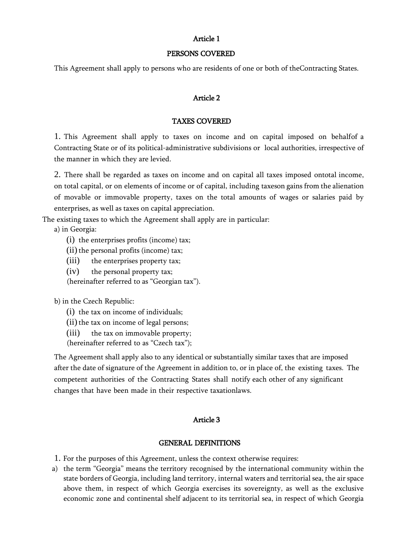#### Article 1

#### PERSONS COVERED

This Agreement shall apply to persons who are residents of one or both of theContracting States.

#### Article 2

#### TAXES COVERED

1. This Agreement shall apply to taxes on income and on capital imposed on behalfof a Contracting State or of its political-administrative subdivisions or local authorities, irrespective of the manner in which they are levied.

2. There shall be regarded as taxes on income and on capital all taxes imposed ontotal income, on total capital, or on elements of income or of capital, including taxeson gains from the alienation of movable or immovable property, taxes on the total amounts of wages or salaries paid by enterprises, as well as taxes on capital appreciation.

The existing taxes to which the Agreement shall apply are in particular:

a) in Georgia:

- (i) the enterprises profits (income) tax;
- $(ii)$  the personal profits (income) tax;
- (iii) the enterprises property tax;
- (iv) the personal property tax;

(hereinafter referred to as "Georgian tax").

b) in the Czech Republic:

- (i) the tax on income of individuals;
- $(ii)$  the tax on income of legal persons;
- (iii) the tax on immovable property;
- (hereinafter referred to as "Czech tax");

The Agreement shall apply also to any identical or substantially similar taxes that are imposed after the date of signature of the Agreement in addition to, or in place of, the existing taxes. The competent authorities of the Contracting States shall notify each other of any significant changes that have been made in their respective taxationlaws.

#### Article 3

#### GENERAL DEFINITIONS

- 1. For the purposes of this Agreement, unless the context otherwise requires:
- a) the term "Georgia" means the territory recognised by the international community within the state borders of Georgia, including land territory, internal waters and territorial sea, the air space above them, in respect of which Georgia exercises its sovereignty, as well as the exclusive economic zone and continental shelf adjacent to its territorial sea, in respect of which Georgia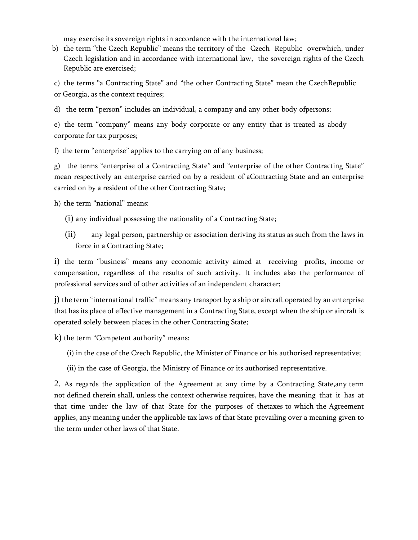may exercise its sovereign rights in accordance with the international law;

b) the term "the Czech Republic" means the territory of the Czech Republic overwhich, under Czech legislation and in accordance with international law, the sovereign rights of the Czech Republic are exercised;

c) the terms "a Contracting State" and "the other Contracting State" mean the CzechRepublic or Georgia, as the context requires;

d) the term "person" includes an individual, a company and any other body ofpersons;

e) the term "company" means any body corporate or any entity that is treated as abody corporate for tax purposes;

f) the term "enterprise" applies to the carrying on of any business;

g) the terms "enterprise of a Contracting State" and "enterprise of the other Contracting State" mean respectively an enterprise carried on by a resident of aContracting State and an enterprise carried on by a resident of the other Contracting State;

h) the term "national" means:

- (i) any individual possessing the nationality of a Contracting State;
- (ii) any legal person, partnership or association deriving its status as such from the laws in force in a Contracting State;

i) the term "business" means any economic activity aimed at receiving profits, income or compensation, regardless of the results of such activity. It includes also the performance of professional services and of other activities of an independent character;

j) the term "international traffic" means any transport by a ship or aircraft operated by an enterprise that has its place of effective management in a Contracting State, except when the ship or aircraft is operated solely between places in the other Contracting State;

k) the term "Competent authority" means:

- (i) in the case of the Czech Republic, the Minister of Finance or his authorised representative;
- (ii) in the case of Georgia, the Ministry of Finance or its authorised representative.

2. As regards the application of the Agreement at any time by a Contracting State,any term not defined therein shall, unless the context otherwise requires, have the meaning that it has at that time under the law of that State for the purposes of thetaxes to which the Agreement applies, any meaning under the applicable tax laws of that State prevailing over a meaning given to the term under other laws of that State.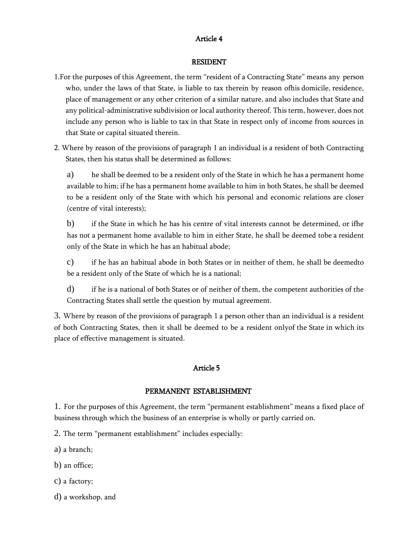### Article 4

#### RESIDENT

- 1.For the purposes of this Agreement, the term "resident of a Contracting State" means any person who, under the laws of that State, is liable to tax therein by reason ofhis domicile, residence, place of management or any other criterion of a similar nature, and also includes that State and any political-administrative subdivision or local authority thereof. This term, however, does not include any person who is liable to tax in that State in respect only of income from sources in that State or capital situated therein.
- 2. Where by reason of the provisions of paragraph 1 an individual is a resident of both Contracting States, then his status shall be determined as follows:

a) he shall be deemed to be a resident only of the State in which he has a permanent home available to him; if he has a permanent home available to him in both States, he shall be deemed to be a resident only of the State with which his personal and economic relations are closer (centre of vital interests);

b) if the State in which he has his centre of vital interests cannot be determined, or ifhe has not a permanent home available to him in either State, he shall be deemed tobe a resident only of the State in which he has an habitual abode;

c) if he has an habitual abode in both States or in neither of them, he shall be deemedto be a resident only of the State of which he is a national;

d) if he is a national of both States or of neither of them, the competent authorities of the Contracting States shall settle the question by mutual agreement.

3. Where by reason of the provisions of paragraph 1 a person other than an individual is a resident of both Contracting States, then it shall be deemed to be a resident onlyof the State in which its place of effective management is situated.

### Article 5

#### PERMANENT ESTABLISHMENT

1. For the purposes of this Agreement, the term "permanent establishment" means a fixed place of business through which the business of an enterprise is wholly or partly carried on.

2. The term "permanent establishment" includes especially:

a) a branch;

- b) an office;
- c) a factory;
- d) a workshop, and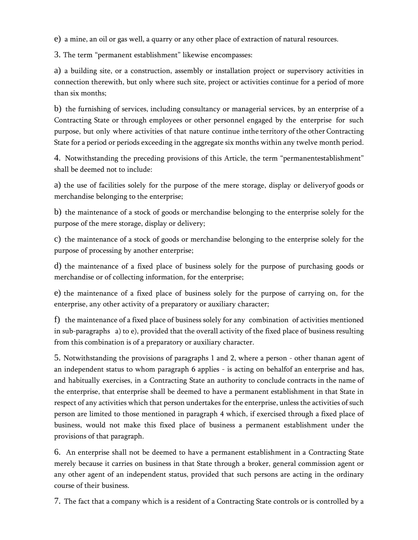e) a mine, an oil or gas well, a quarry or any other place of extraction of natural resources.

3. The term "permanent establishment" likewise encompasses:

a) a building site, or a construction, assembly or installation project or supervisory activities in connection therewith, but only where such site, project or activities continue for a period of more than six months;

b) the furnishing of services, including consultancy or managerial services, by an enterprise of a Contracting State or through employees or other personnel engaged by the enterprise for such purpose, but only where activities of that nature continue inthe territory of the other Contracting State for a period or periods exceeding in the aggregate six months within any twelve month period.

4. Notwithstanding the preceding provisions of this Article, the term "permanentestablishment" shall be deemed not to include:

a) the use of facilities solely for the purpose of the mere storage, display or deliveryof goods or merchandise belonging to the enterprise;

b) the maintenance of a stock of goods or merchandise belonging to the enterprise solely for the purpose of the mere storage, display or delivery;

c) the maintenance of a stock of goods or merchandise belonging to the enterprise solely for the purpose of processing by another enterprise;

d) the maintenance of a fixed place of business solely for the purpose of purchasing goods or merchandise or of collecting information, for the enterprise;

e) the maintenance of a fixed place of business solely for the purpose of carrying on, for the enterprise, any other activity of a preparatory or auxiliary character;

f) the maintenance of a fixed place of business solely for any combination of activities mentioned in sub-paragraphs a) to e), provided that the overall activity of the fixed place of business resulting from this combination is of a preparatory or auxiliary character.

5. Notwithstanding the provisions of paragraphs 1 and 2, where a person - other thanan agent of an independent status to whom paragraph 6 applies - is acting on behalfof an enterprise and has, and habitually exercises, in a Contracting State an authority to conclude contracts in the name of the enterprise, that enterprise shall be deemed to have a permanent establishment in that State in respect of any activities which that person undertakes for the enterprise, unless the activities of such person are limited to those mentioned in paragraph 4 which, if exercised through a fixed place of business, would not make this fixed place of business a permanent establishment under the provisions of that paragraph.

6. An enterprise shall not be deemed to have a permanent establishment in a Contracting State merely because it carries on business in that State through a broker, general commission agent or any other agent of an independent status, provided that such persons are acting in the ordinary course of their business.

7. The fact that a company which is a resident of a Contracting State controls or is controlled by a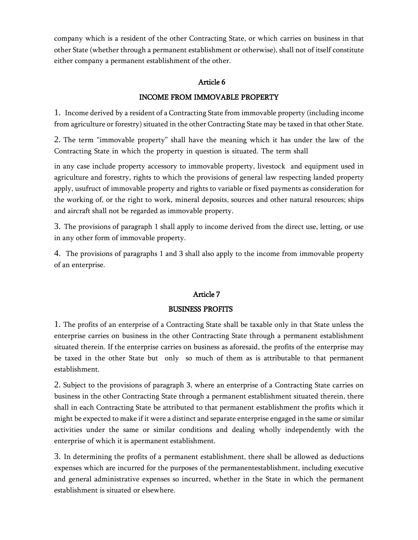company which is a resident of the other Contracting State, or which carries on business in that other State (whether through a permanent establishment or otherwise), shall not of itself constitute either company a permanent establishment of the other.

### Article 6

# INCOME FROM IMMOVABLE PROPERTY

1. Income derived by a resident of a Contracting State from immovable property (including income from agriculture or forestry) situated in the other Contracting State may be taxed in that other State.

2. The term "immovable property" shall have the meaning which it has under the law of the Contracting State in which the property in question is situated. The term shall

in any case include property accessory to immovable property, livestock and equipment used in agriculture and forestry, rights to which the provisions of general law respecting landed property apply, usufruct of immovable property and rights to variable or fixed payments as consideration for the working of, or the right to work, mineral deposits, sources and other natural resources; ships and aircraft shall not be regarded as immovable property.

3. The provisions of paragraph 1 shall apply to income derived from the direct use, letting, or use in any other form of immovable property.

4. The provisions of paragraphs 1 and 3 shall also apply to the income from immovable property of an enterprise.

# Article 7

### BUSINESS PROFITS

1. The profits of an enterprise of a Contracting State shall be taxable only in that State unless the enterprise carries on business in the other Contracting State through a permanent establishment situated therein. If the enterprise carries on business as aforesaid, the profits of the enterprise may be taxed in the other State but only so much of them as is attributable to that permanent establishment.

2. Subject to the provisions of paragraph 3, where an enterprise of a Contracting State carries on business in the other Contracting State through a permanent establishment situated therein, there shall in each Contracting State be attributed to that permanent establishment the profits which it might be expected to make if it were a distinct and separate enterprise engaged in the same or similar activities under the same or similar conditions and dealing wholly independently with the enterprise of which it is apermanent establishment.

3. In determining the profits of a permanent establishment, there shall be allowed as deductions expenses which are incurred for the purposes of the permanentestablishment, including executive and general administrative expenses so incurred, whether in the State in which the permanent establishment is situated or elsewhere.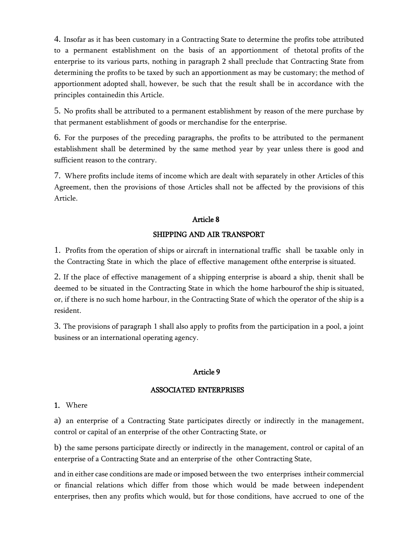4. Insofar as it has been customary in a Contracting State to determine the profits tobe attributed to a permanent establishment on the basis of an apportionment of thetotal profits of the enterprise to its various parts, nothing in paragraph 2 shall preclude that Contracting State from determining the profits to be taxed by such an apportionment as may be customary; the method of apportionment adopted shall, however, be such that the result shall be in accordance with the principles containedin this Article.

5. No profits shall be attributed to a permanent establishment by reason of the mere purchase by that permanent establishment of goods or merchandise for the enterprise.

6. For the purposes of the preceding paragraphs, the profits to be attributed to the permanent establishment shall be determined by the same method year by year unless there is good and sufficient reason to the contrary.

7. Where profits include items of income which are dealt with separately in other Articles of this Agreement, then the provisions of those Articles shall not be affected by the provisions of this Article.

### Article 8

### SHIPPING AND AIR TRANSPORT

1. Profits from the operation of ships or aircraft in international traffic shall be taxable only in the Contracting State in which the place of effective management ofthe enterprise is situated.

2. If the place of effective management of a shipping enterprise is aboard a ship, thenit shall be deemed to be situated in the Contracting State in which the home harbourof the ship is situated, or, if there is no such home harbour, in the Contracting State of which the operator of the ship is a resident.

3. The provisions of paragraph 1 shall also apply to profits from the participation in a pool, a joint business or an international operating agency.

### Article 9

#### ASSOCIATED ENTERPRISES

### 1. Where

a) an enterprise of a Contracting State participates directly or indirectly in the management, control or capital of an enterprise of the other Contracting State, or

b) the same persons participate directly or indirectly in the management, control or capital of an enterprise of a Contracting State and an enterprise of the other Contracting State,

and in either case conditions are made or imposed between the two enterprises intheir commercial or financial relations which differ from those which would be made between independent enterprises, then any profits which would, but for those conditions, have accrued to one of the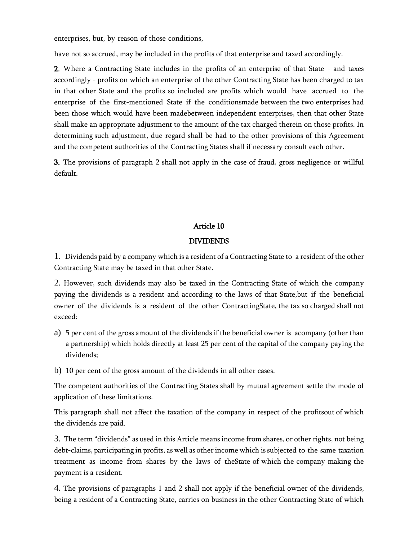enterprises, but, by reason of those conditions,

have not so accrued, may be included in the profits of that enterprise and taxed accordingly.

2. Where a Contracting State includes in the profits of an enterprise of that State - and taxes accordingly - profits on which an enterprise of the other Contracting State has been charged to tax in that other State and the profits so included are profits which would have accrued to the enterprise of the first-mentioned State if the conditionsmade between the two enterprises had been those which would have been madebetween independent enterprises, then that other State shall make an appropriate adjustment to the amount of the tax charged therein on those profits. In determining such adjustment, due regard shall be had to the other provisions of this Agreement and the competent authorities of the Contracting States shall if necessary consult each other.

3. The provisions of paragraph 2 shall not apply in the case of fraud, gross negligence or willful default.

### Article 10

### DIVIDENDS

1. Dividends paid by a company which is a resident of a Contracting State to a resident of the other Contracting State may be taxed in that other State.

2. However, such dividends may also be taxed in the Contracting State of which the company paying the dividends is a resident and according to the laws of that State,but if the beneficial owner of the dividends is a resident of the other ContractingState, the tax so charged shall not exceed:

- a) 5 per cent of the gross amount of the dividends if the beneficial owner is acompany (other than a partnership) which holds directly at least 25 per cent of the capital of the company paying the dividends;
- b) 10 per cent of the gross amount of the dividends in all other cases.

The competent authorities of the Contracting States shall by mutual agreement settle the mode of application of these limitations.

This paragraph shall not affect the taxation of the company in respect of the profitsout of which the dividends are paid.

3. The term "dividends" as used in this Article means income from shares, or other rights, not being debt-claims, participating in profits, as well as other income which is subjected to the same taxation treatment as income from shares by the laws of theState of which the company making the payment is a resident.

4. The provisions of paragraphs 1 and 2 shall not apply if the beneficial owner of the dividends, being a resident of a Contracting State, carries on business in the other Contracting State of which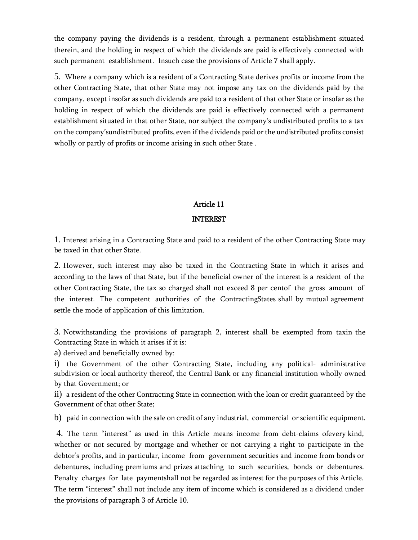the company paying the dividends is a resident, through a permanent establishment situated therein, and the holding in respect of which the dividends are paid is effectively connected with such permanent establishment. Insuch case the provisions of Article 7 shall apply.

5. Where a company which is a resident of a Contracting State derives profits or income from the other Contracting State, that other State may not impose any tax on the dividends paid by the company, except insofar as such dividends are paid to a resident of that other State or insofar as the holding in respect of which the dividends are paid is effectively connected with a permanent establishment situated in that other State, nor subject the company's undistributed profits to a tax on the company'sundistributed profits, even if the dividends paid or the undistributed profits consist wholly or partly of profits or income arising in such other State .

### Article 11

### INTEREST

1. Interest arising in a Contracting State and paid to a resident of the other Contracting State may be taxed in that other State.

2. However, such interest may also be taxed in the Contracting State in which it arises and according to the laws of that State, but if the beneficial owner of the interest is a resident of the other Contracting State, the tax so charged shall not exceed 8 per centof the gross amount of the interest. The competent authorities of the ContractingStates shall by mutual agreement settle the mode of application of this limitation.

3. Notwithstanding the provisions of paragraph 2, interest shall be exempted from taxin the Contracting State in which it arises if it is:

a) derived and beneficially owned by:

i) the Government of the other Contracting State, including any political- administrative subdivision or local authority thereof, the Central Bank or any financial institution wholly owned by that Government; or

ii) a resident of the other Contracting State in connection with the loan or credit guaranteed by the Government of that other State;

b) paid in connection with the sale on credit of any industrial, commercial or scientific equipment.

4. The term "interest" as used in this Article means income from debt-claims ofevery kind, whether or not secured by mortgage and whether or not carrying a right to participate in the debtor's profits, and in particular, income from government securities and income from bonds or debentures, including premiums and prizes attaching to such securities, bonds or debentures. Penalty charges for late paymentshall not be regarded as interest for the purposes of this Article. The term "interest" shall not include any item of income which is considered as a dividend under the provisions of paragraph 3 of Article 10.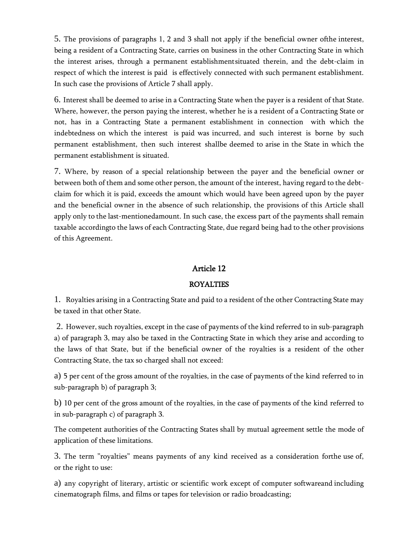5. The provisions of paragraphs 1, 2 and 3 shall not apply if the beneficial owner ofthe interest, being a resident of a Contracting State, carries on business in the other Contracting State in which the interest arises, through a permanent establishmentsituated therein, and the debt-claim in respect of which the interest is paid is effectively connected with such permanent establishment. In such case the provisions of Article 7 shall apply.

6. Interest shall be deemed to arise in a Contracting State when the payer is a resident of that State. Where, however, the person paying the interest, whether he is a resident of a Contracting State or not, has in a Contracting State a permanent establishment in connection with which the indebtedness on which the interest is paid was incurred, and such interest is borne by such permanent establishment, then such interest shallbe deemed to arise in the State in which the permanent establishment is situated.

7. Where, by reason of a special relationship between the payer and the beneficial owner or between both of them and some other person, the amount of the interest, having regard to the debtclaim for which it is paid, exceeds the amount which would have been agreed upon by the payer and the beneficial owner in the absence of such relationship, the provisions of this Article shall apply only to the last-mentionedamount. In such case, the excess part of the payments shall remain taxable accordingto the laws of each Contracting State, due regard being had to the other provisions of this Agreement.

### Article 12

### ROYALTIES

1. Royalties arising in a Contracting State and paid to a resident of the other Contracting State may be taxed in that other State.

2. However, such royalties, except in the case of payments of the kind referred to in sub-paragraph a) of paragraph 3, may also be taxed in the Contracting State in which they arise and according to the laws of that State, but if the beneficial owner of the royalties is a resident of the other Contracting State, the tax so charged shall not exceed:

a) 5 per cent of the gross amount of the royalties, in the case of payments of the kind referred to in sub-paragraph b) of paragraph 3;

b) 10 per cent of the gross amount of the royalties, in the case of payments of the kind referred to in sub-paragraph c) of paragraph 3.

The competent authorities of the Contracting States shall by mutual agreement settle the mode of application of these limitations.

3. The term "royalties" means payments of any kind received as a consideration forthe use of, or the right to use:

a) any copyright of literary, artistic or scientific work except of computer softwareand including cinematograph films, and films or tapes for television or radio broadcasting;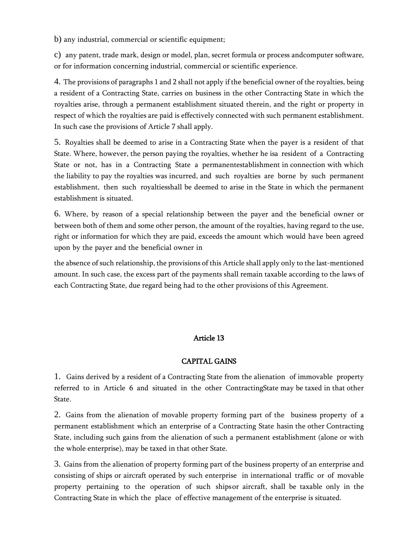b) any industrial, commercial or scientific equipment;

c) any patent, trade mark, design or model, plan, secret formula or process andcomputer software, or for information concerning industrial, commercial or scientific experience.

4. The provisions of paragraphs 1 and 2 shall not apply if the beneficial owner of the royalties, being a resident of a Contracting State, carries on business in the other Contracting State in which the royalties arise, through a permanent establishment situated therein, and the right or property in respect of which the royalties are paid is effectively connected with such permanent establishment. In such case the provisions of Article 7 shall apply.

5. Royalties shall be deemed to arise in a Contracting State when the payer is a resident of that State. Where, however, the person paying the royalties, whether he isa resident of a Contracting State or not, has in a Contracting State a permanentestablishment in connection with which the liability to pay the royalties was incurred, and such royalties are borne by such permanent establishment, then such royaltiesshall be deemed to arise in the State in which the permanent establishment is situated.

6. Where, by reason of a special relationship between the payer and the beneficial owner or between both of them and some other person, the amount of the royalties, having regard to the use, right or information for which they are paid, exceeds the amount which would have been agreed upon by the payer and the beneficial owner in

the absence of such relationship, the provisions of this Article shall apply only to the last-mentioned amount. In such case, the excess part of the payments shall remain taxable according to the laws of each Contracting State, due regard being had to the other provisions of this Agreement.

### Article 13

#### CAPITAL GAINS

1. Gains derived by a resident of a Contracting State from the alienation of immovable property referred to in Article 6 and situated in the other ContractingState may be taxed in that other State.

2. Gains from the alienation of movable property forming part of the business property of a permanent establishment which an enterprise of a Contracting State hasin the other Contracting State, including such gains from the alienation of such a permanent establishment (alone or with the whole enterprise), may be taxed in that other State.

3. Gains from the alienation of property forming part of the business property of an enterprise and consisting of ships or aircraft operated by such enterprise in international traffic or of movable property pertaining to the operation of such shipsor aircraft, shall be taxable only in the Contracting State in which the place of effective management of the enterprise is situated.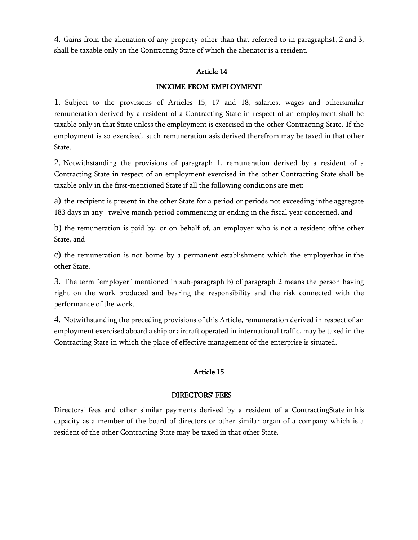4. Gains from the alienation of any property other than that referred to in paragraphs1, 2 and 3, shall be taxable only in the Contracting State of which the alienator is a resident.

#### Article 14

#### INCOME FROM EMPLOYMENT

1. Subject to the provisions of Articles 15, 17 and 18, salaries, wages and othersimilar remuneration derived by a resident of a Contracting State in respect of an employment shall be taxable only in that State unless the employment is exercised in the other Contracting State. If the employment is so exercised, such remuneration asis derived therefrom may be taxed in that other State.

2. Notwithstanding the provisions of paragraph 1, remuneration derived by a resident of a Contracting State in respect of an employment exercised in the other Contracting State shall be taxable only in the first-mentioned State if all the following conditions are met:

a) the recipient is present in the other State for a period or periods not exceeding inthe aggregate 183 days in any twelve month period commencing or ending in the fiscal year concerned, and

b) the remuneration is paid by, or on behalf of, an employer who is not a resident ofthe other State, and

c) the remuneration is not borne by a permanent establishment which the employerhas in the other State.

3. The term "employer" mentioned in sub-paragraph b) of paragraph 2 means the person having right on the work produced and bearing the responsibility and the risk connected with the performance of the work.

4. Notwithstanding the preceding provisions of this Article, remuneration derived in respect of an employment exercised aboard a ship or aircraft operated in international traffic, may be taxed in the Contracting State in which the place of effective management of the enterprise is situated.

### Article 15

#### DIRECTORS' FEES

Directors' fees and other similar payments derived by a resident of a ContractingState in his capacity as a member of the board of directors or other similar organ of a company which is a resident of the other Contracting State may be taxed in that other State.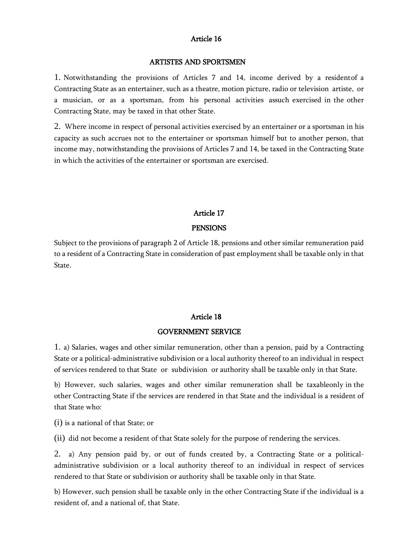#### Article 16

#### ARTISTES AND SPORTSMEN

1. Notwithstanding the provisions of Articles 7 and 14, income derived by a residentof a Contracting State as an entertainer, such as a theatre, motion picture, radio or television artiste, or a musician, or as a sportsman, from his personal activities assuch exercised in the other Contracting State, may be taxed in that other State.

2. Where income in respect of personal activities exercised by an entertainer or a sportsman in his capacity as such accrues not to the entertainer or sportsman himself but to another person, that income may, notwithstanding the provisions of Articles 7 and 14, be taxed in the Contracting State in which the activities of the entertainer or sportsman are exercised.

#### Article 17

#### PENSIONS

Subject to the provisions of paragraph 2 of Article 18, pensions and other similar remuneration paid to a resident of a Contracting State in consideration of past employment shall be taxable only in that State.

#### Article 18

#### GOVERNMENT SERVICE

1. a) Salaries, wages and other similar remuneration, other than a pension, paid by a Contracting State or a political-administrative subdivision or a local authority thereof to an individual in respect of services rendered to that State or subdivision or authority shall be taxable only in that State.

b) However, such salaries, wages and other similar remuneration shall be taxableonly in the other Contracting State if the services are rendered in that State and the individual is a resident of that State who:

(i) is a national of that State; or

(ii) did not become a resident of that State solely for the purpose of rendering the services.

2. a) Any pension paid by, or out of funds created by, a Contracting State or a politicaladministrative subdivision or a local authority thereof to an individual in respect of services rendered to that State or subdivision or authority shall be taxable only in that State.

b) However, such pension shall be taxable only in the other Contracting State if the individual is a resident of, and a national of, that State.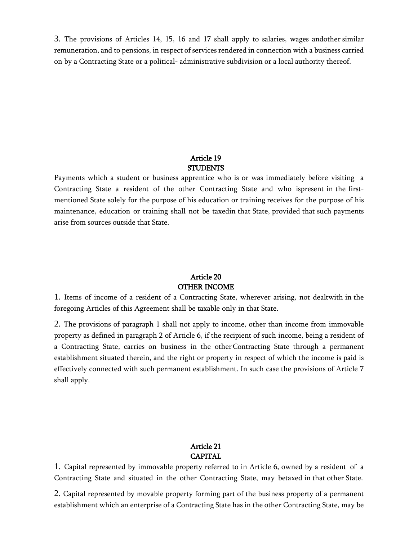3. The provisions of Articles 14, 15, 16 and 17 shall apply to salaries, wages andother similar remuneration, and to pensions, in respect of services rendered in connection with a business carried on by a Contracting State or a political- administrative subdivision or a local authority thereof.

### Article 19 **STUDENTS**

Payments which a student or business apprentice who is or was immediately before visiting a Contracting State a resident of the other Contracting State and who ispresent in the firstmentioned State solely for the purpose of his education or training receives for the purpose of his maintenance, education or training shall not be taxedin that State, provided that such payments arise from sources outside that State.

### Article 20 OTHER INCOME

1. Items of income of a resident of a Contracting State, wherever arising, not dealtwith in the foregoing Articles of this Agreement shall be taxable only in that State.

2. The provisions of paragraph 1 shall not apply to income, other than income from immovable property as defined in paragraph 2 of Article 6, if the recipient of such income, being a resident of a Contracting State, carries on business in the otherContracting State through a permanent establishment situated therein, and the right or property in respect of which the income is paid is effectively connected with such permanent establishment. In such case the provisions of Article 7 shall apply.

### Article 21 **CAPITAL**

1. Capital represented by immovable property referred to in Article 6, owned by a resident of a Contracting State and situated in the other Contracting State, may betaxed in that other State.

2. Capital represented by movable property forming part of the business property of a permanent establishment which an enterprise of a Contracting State has in the other Contracting State, may be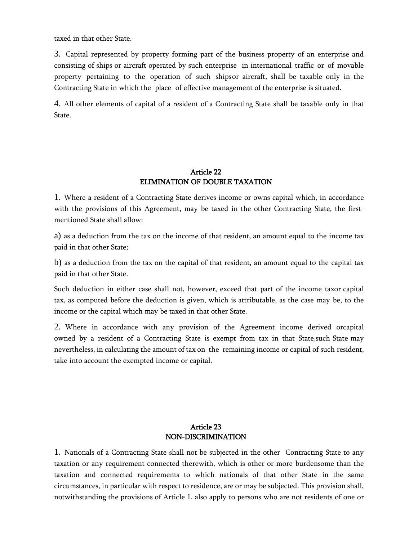taxed in that other State.

3. Capital represented by property forming part of the business property of an enterprise and consisting of ships or aircraft operated by such enterprise in international traffic or of movable property pertaining to the operation of such shipsor aircraft, shall be taxable only in the Contracting State in which the place of effective management of the enterprise is situated.

4. All other elements of capital of a resident of a Contracting State shall be taxable only in that State.

#### Article 22 ELIMINATION OF DOUBLE TAXATION

1. Where a resident of a Contracting State derives income or owns capital which, in accordance with the provisions of this Agreement, may be taxed in the other Contracting State, the firstmentioned State shall allow:

a) as a deduction from the tax on the income of that resident, an amount equal to the income tax paid in that other State;

b) as a deduction from the tax on the capital of that resident, an amount equal to the capital tax paid in that other State.

Such deduction in either case shall not, however, exceed that part of the income taxor capital tax, as computed before the deduction is given, which is attributable, as the case may be, to the income or the capital which may be taxed in that other State.

2. Where in accordance with any provision of the Agreement income derived orcapital owned by a resident of a Contracting State is exempt from tax in that State,such State may nevertheless, in calculating the amount of tax on the remaining income or capital of such resident, take into account the exempted income or capital.

# Article 23 NON-DISCRIMINATION

1. Nationals of a Contracting State shall not be subjected in the other Contracting State to any taxation or any requirement connected therewith, which is other or more burdensome than the taxation and connected requirements to which nationals of that other State in the same circumstances, in particular with respect to residence, are or may be subjected. This provision shall, notwithstanding the provisions of Article 1, also apply to persons who are not residents of one or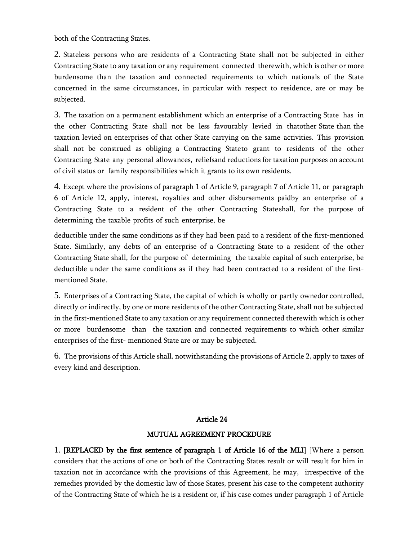both of the Contracting States.

2. Stateless persons who are residents of a Contracting State shall not be subjected in either Contracting State to any taxation or any requirement connected therewith, which is other or more burdensome than the taxation and connected requirements to which nationals of the State concerned in the same circumstances, in particular with respect to residence, are or may be subjected.

3. The taxation on a permanent establishment which an enterprise of a Contracting State has in the other Contracting State shall not be less favourably levied in thatother State than the taxation levied on enterprises of that other State carrying on the same activities. This provision shall not be construed as obliging a Contracting Stateto grant to residents of the other Contracting State any personal allowances, reliefsand reductions for taxation purposes on account of civil status or family responsibilities which it grants to its own residents.

4. Except where the provisions of paragraph 1 of Article 9, paragraph 7 of Article 11, or paragraph 6 of Article 12, apply, interest, royalties and other disbursements paidby an enterprise of a Contracting State to a resident of the other Contracting Stateshall, for the purpose of determining the taxable profits of such enterprise, be

deductible under the same conditions as if they had been paid to a resident of the first-mentioned State. Similarly, any debts of an enterprise of a Contracting State to a resident of the other Contracting State shall, for the purpose of determining the taxable capital of such enterprise, be deductible under the same conditions as if they had been contracted to a resident of the firstmentioned State.

5. Enterprises of a Contracting State, the capital of which is wholly or partly ownedor controlled, directly or indirectly, by one or more residents of the other Contracting State, shall not be subjected in the first-mentioned State to any taxation or any requirement connected therewith which is other or more burdensome than the taxation and connected requirements to which other similar enterprises of the first- mentioned State are or may be subjected.

6. The provisions of this Article shall, notwithstanding the provisions of Article 2, apply to taxes of every kind and description.

#### Article 24

#### MUTUAL AGREEMENT PROCEDURE

1. [REPLACED by the first sentence of paragraph 1 of Article 16 of the MLI] [Where a person considers that the actions of one or both of the Contracting States result or will result for him in taxation not in accordance with the provisions of this Agreement, he may, irrespective of the remedies provided by the domestic law of those States, present his case to the competent authority of the Contracting State of which he is a resident or, if his case comes under paragraph 1 of Article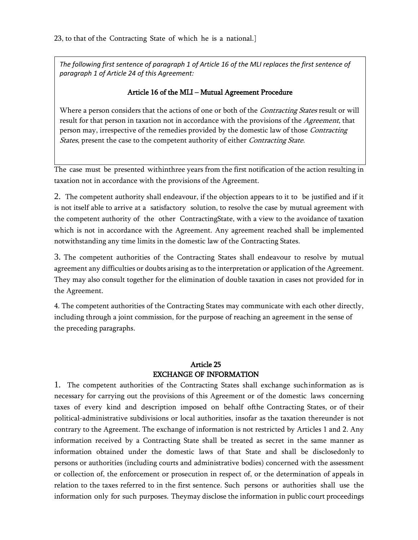*The following first sentence of paragraph 1 of Article 16 of the MLI replaces the first sentence of paragraph 1 of Article 24 of this Agreement:*

### Article 16 of the MLI – Mutual Agreement Procedure

Where a person considers that the actions of one or both of the *Contracting States* result or will result for that person in taxation not in accordance with the provisions of the Agreement, that person may, irrespective of the remedies provided by the domestic law of those *Contracting States*, present the case to the competent authority of either *Contracting State*.

The case must be presented withinthree years from the first notification of the action resulting in taxation not in accordance with the provisions of the Agreement.

2. The competent authority shall endeavour, if the objection appears to it to be justified and if it is not itself able to arrive at a satisfactory solution, to resolve the case by mutual agreement with the competent authority of the other ContractingState, with a view to the avoidance of taxation which is not in accordance with the Agreement. Any agreement reached shall be implemented notwithstanding any time limits in the domestic law of the Contracting States.

3. The competent authorities of the Contracting States shall endeavour to resolve by mutual agreement any difficulties or doubts arising as to the interpretation or application of the Agreement. They may also consult together for the elimination of double taxation in cases not provided for in the Agreement.

4. The competent authorities of the Contracting States may communicate with each other directly, including through a joint commission, for the purpose of reaching an agreement in the sense of the preceding paragraphs.

# Article 25 EXCHANGE OF INFORMATION

1. The competent authorities of the Contracting States shall exchange suchinformation as is necessary for carrying out the provisions of this Agreement or of the domestic laws concerning taxes of every kind and description imposed on behalf ofthe Contracting States, or of their political-administrative subdivisions or local authorities, insofar as the taxation thereunder is not contrary to the Agreement. The exchange of information is not restricted by Articles 1 and 2. Any information received by a Contracting State shall be treated as secret in the same manner as information obtained under the domestic laws of that State and shall be disclosedonly to persons or authorities (including courts and administrative bodies) concerned with the assessment or collection of, the enforcement or prosecution in respect of, or the determination of appeals in relation to the taxes referred to in the first sentence. Such persons or authorities shall use the information only for such purposes. Theymay disclose the information in public court proceedings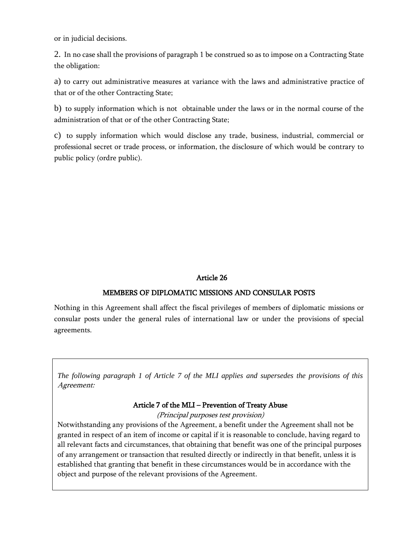or in judicial decisions.

2. In no case shall the provisions of paragraph 1 be construed so as to impose on a Contracting State the obligation:

a) to carry out administrative measures at variance with the laws and administrative practice of that or of the other Contracting State;

b) to supply information which is not obtainable under the laws or in the normal course of the administration of that or of the other Contracting State;

c) to supply information which would disclose any trade, business, industrial, commercial or professional secret or trade process, or information, the disclosure of which would be contrary to public policy (ordre public).

### Article 26

### MEMBERS OF DIPLOMATIC MISSIONS AND CONSULAR POSTS

Nothing in this Agreement shall affect the fiscal privileges of members of diplomatic missions or consular posts under the general rules of international law or under the provisions of special agreements.

*The following paragraph 1 of Article 7 of the MLI applies and supersedes the provisions of this* Agreement:

### Article 7 of the MLI – Prevention of Treaty Abuse

(Principal purposes test provision)

Notwithstanding any provisions of the Agreement, a benefit under the Agreement shall not be granted in respect of an item of income or capital if it is reasonable to conclude, having regard to all relevant facts and circumstances, that obtaining that benefit was one of the principal purposes of any arrangement or transaction that resulted directly or indirectly in that benefit, unless it is established that granting that benefit in these circumstances would be in accordance with the object and purpose of the relevant provisions of the Agreement.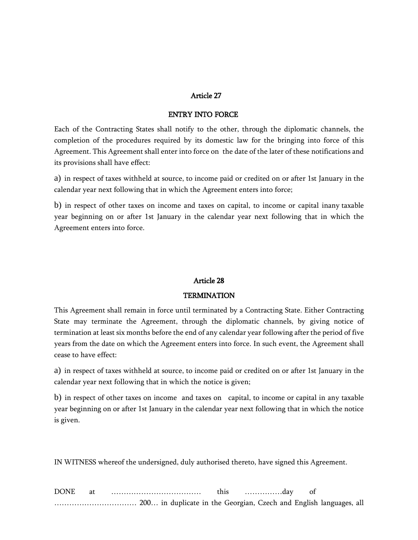#### Article 27

#### ENTRY INTO FORCE

Each of the Contracting States shall notify to the other, through the diplomatic channels, the completion of the procedures required by its domestic law for the bringing into force of this Agreement. This Agreement shall enter into force on the date of the later of these notifications and its provisions shall have effect:

a) in respect of taxes withheld at source, to income paid or credited on or after 1st January in the calendar year next following that in which the Agreement enters into force;

b) in respect of other taxes on income and taxes on capital, to income or capital inany taxable year beginning on or after 1st January in the calendar year next following that in which the Agreement enters into force.

#### Article 28

#### **TERMINATION**

This Agreement shall remain in force until terminated by a Contracting State. Either Contracting State may terminate the Agreement, through the diplomatic channels, by giving notice of termination at least six months before the end of any calendar year following after the period of five years from the date on which the Agreement enters into force. In such event, the Agreement shall cease to have effect:

a) in respect of taxes withheld at source, to income paid or credited on or after 1st January in the calendar year next following that in which the notice is given;

b) in respect of other taxes on income and taxes on capital, to income or capital in any taxable year beginning on or after 1st January in the calendar year next following that in which the notice is given.

IN WITNESS whereof the undersigned, duly authorised thereto, have signed this Agreement.

| <b>DONE</b> |  |  |  | this | . dav |  |  |
|-------------|--|--|--|------|-------|--|--|
|             |  |  |  |      |       |  |  |